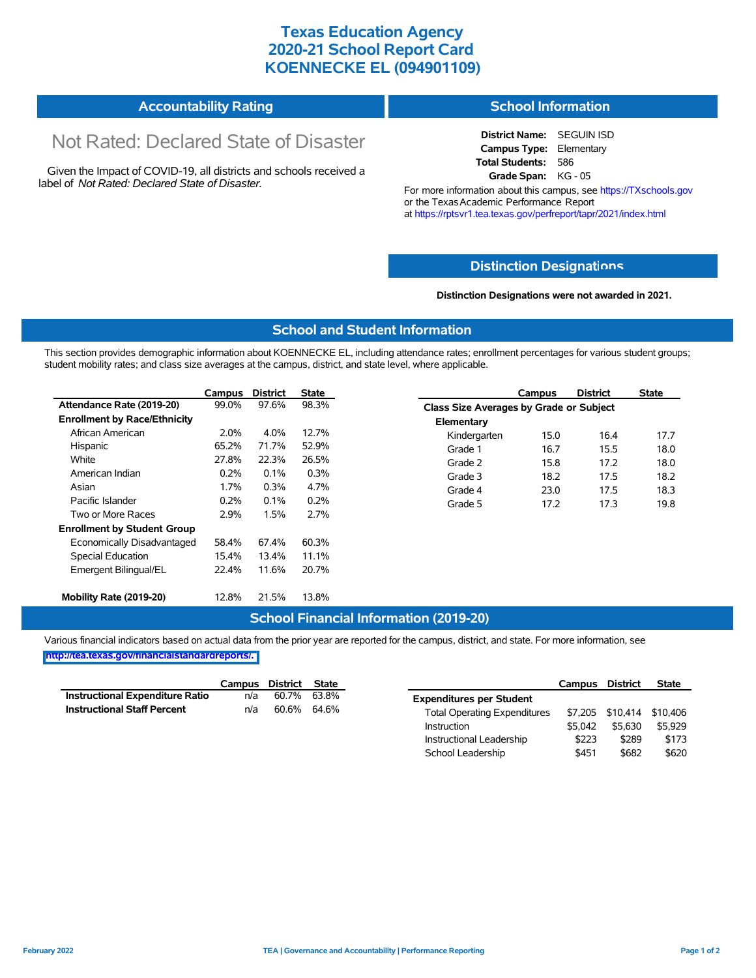# **Texas Education Agency 2020-21 School Report Card KOENNECKE EL (094901109)**

#### **Accountability Rating School Information**

# Not Rated: Declared State of Disaster

Given the Impact of COVID-19, all districts and schools received a label of *Not Rated: Declared State of Disaster.*

**District Name:** SEGUIN ISD **Campus Type:** Elementary **Total Students:** 586 **Grade Span:** KG - 05

For more information about this campus, see https://TXschools.gov or the Texas Academic Performance Report at https://rptsvr1.tea.texas.gov/perfreport/tapr/2021/index.html

### **Distinction Designat[ions](https://TXschools.gov)**

**Distinction Designations were not awarded in 2021.**

School Leadership  $$451$  \$682 \$620

#### **School and Student Information**

This section provides demographic information about KOENNECKE EL, including attendance rates; enrollment percentages for various student groups; student mobility rates; and class size averages at the campus, district, and state level, where applicable.

|                                     | Campus  | <b>District</b> | <b>State</b> |              | Campus                                         | <b>District</b> | <b>State</b> |  |  |
|-------------------------------------|---------|-----------------|--------------|--------------|------------------------------------------------|-----------------|--------------|--|--|
| Attendance Rate (2019-20)           | 99.0%   | 97.6%           | 98.3%        |              | <b>Class Size Averages by Grade or Subject</b> |                 |              |  |  |
| <b>Enrollment by Race/Ethnicity</b> |         |                 |              | Elementary   |                                                |                 |              |  |  |
| African American                    | $2.0\%$ | 4.0%            | 12.7%        | Kindergarten | 15.0                                           | 16.4            | 17.7         |  |  |
| Hispanic                            | 65.2%   | 71.7%           | 52.9%        | Grade 1      | 16.7                                           | 15.5            | 18.0         |  |  |
| White                               | 27.8%   | 22.3%           | 26.5%        | Grade 2      | 15.8                                           | 17.2            | 18.0         |  |  |
| American Indian                     | 0.2%    | 0.1%            | 0.3%         | Grade 3      | 18.2                                           | 17.5            | 18.2         |  |  |
| Asian                               | 1.7%    | 0.3%            | 4.7%         | Grade 4      | 23.0                                           | 17.5            | 18.3         |  |  |
| Pacific Islander                    | 0.2%    | 0.1%            | 0.2%         | Grade 5      | 17.2                                           | 17.3            | 19.8         |  |  |
| Two or More Races                   | 2.9%    | 1.5%            | 2.7%         |              |                                                |                 |              |  |  |
| <b>Enrollment by Student Group</b>  |         |                 |              |              |                                                |                 |              |  |  |
| Economically Disadvantaged          | 58.4%   | 67.4%           | 60.3%        |              |                                                |                 |              |  |  |
| Special Education                   | 15.4%   | 13.4%           | 11.1%        |              |                                                |                 |              |  |  |
| Emergent Bilingual/EL               | 22.4%   | 11.6%           | 20.7%        |              |                                                |                 |              |  |  |
|                                     |         |                 |              |              |                                                |                 |              |  |  |
| Mobility Rate (2019-20)             | 12.8%   | 21.5%           | 13.8%        |              |                                                |                 |              |  |  |

### **School Financial Information (2019-20)**

Various financial indicators based on actual data from the prior year are reported for the campus, district, and state. For more information, see

**[http://tea.texas.gov/financialstandardreports/.](http://tea.texas.gov/financialstandardreports/)**

|                                    | Campus | District | State |                                     | Campus  | <b>District</b> | <b>State</b>              |
|------------------------------------|--------|----------|-------|-------------------------------------|---------|-----------------|---------------------------|
| Instructional Expenditure Ratio    | n/a    | 60.7%    | 63.8% | <b>Expenditures per Student</b>     |         |                 |                           |
| <b>Instructional Staff Percent</b> | n/a    | 60.6%    | 64.6% | <b>Total Operating Expenditures</b> |         |                 | \$7,205 \$10,414 \$10,406 |
|                                    |        |          |       | Instruction                         | \$5.042 | \$5.630         | \$5.929                   |
|                                    |        |          |       | Instructional Leadership            | \$223   | \$289           | \$173                     |